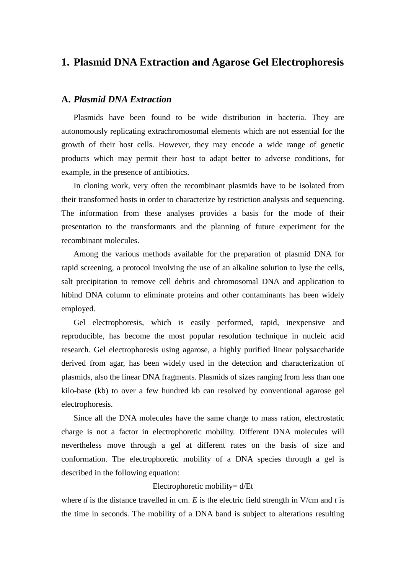## **1. Plasmid DNA Extraction and Agarose Gel Electrophoresis**

### **A.** *Plasmid DNA Extraction*

Plasmids have been found to be wide distribution in bacteria. They are autonomously replicating extrachromosomal elements which are not essential for the growth of their host cells. However, they may encode a wide range of genetic products which may permit their host to adapt better to adverse conditions, for example, in the presence of antibiotics.

In cloning work, very often the recombinant plasmids have to be isolated from their transformed hosts in order to characterize by restriction analysis and sequencing. The information from these analyses provides a basis for the mode of their presentation to the transformants and the planning of future experiment for the recombinant molecules.

Among the various methods available for the preparation of plasmid DNA for rapid screening, a protocol involving the use of an alkaline solution to lyse the cells, salt precipitation to remove cell debris and chromosomal DNA and application to hibind DNA column to eliminate proteins and other contaminants has been widely employed.

Gel electrophoresis, which is easily performed, rapid, inexpensive and reproducible, has become the most popular resolution technique in nucleic acid research. Gel electrophoresis using agarose, a highly purified linear polysaccharide derived from agar, has been widely used in the detection and characterization of plasmids, also the linear DNA fragments. Plasmids of sizes ranging from less than one kilo-base (kb) to over a few hundred kb can resolved by conventional agarose gel electrophoresis.

Since all the DNA molecules have the same charge to mass ration, electrostatic charge is not a factor in electrophoretic mobility. Different DNA molecules will nevertheless move through a gel at different rates on the basis of size and conformation. The electrophoretic mobility of a DNA species through a gel is described in the following equation:

#### Electrophoretic mobility= d/Et

where *d* is the distance travelled in cm. *E* is the electric field strength in V/cm and *t* is the time in seconds. The mobility of a DNA band is subject to alterations resulting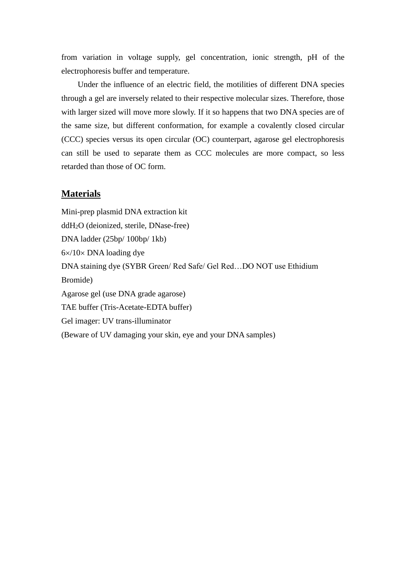from variation in voltage supply, gel concentration, ionic strength, pH of the electrophoresis buffer and temperature.

Under the influence of an electric field, the motilities of different DNA species through a gel are inversely related to their respective molecular sizes. Therefore, those with larger sized will move more slowly. If it so happens that two DNA species are of the same size, but different conformation, for example a covalently closed circular (CCC) species versus its open circular (OC) counterpart, agarose gel electrophoresis can still be used to separate them as CCC molecules are more compact, so less retarded than those of OC form.

## **Materials**

Mini-prep plasmid DNA extraction kit ddH2O (deionized, sterile, DNase-free) DNA ladder (25bp/ 100bp/ 1kb)  $6 \times /10 \times$  DNA loading dye DNA staining dye (SYBR Green/ Red Safe/ Gel Red…DO NOT use Ethidium Bromide) Agarose gel (use DNA grade agarose) TAE buffer (Tris-Acetate-EDTA buffer) Gel imager: UV trans-illuminator (Beware of UV damaging your skin, eye and your DNA samples)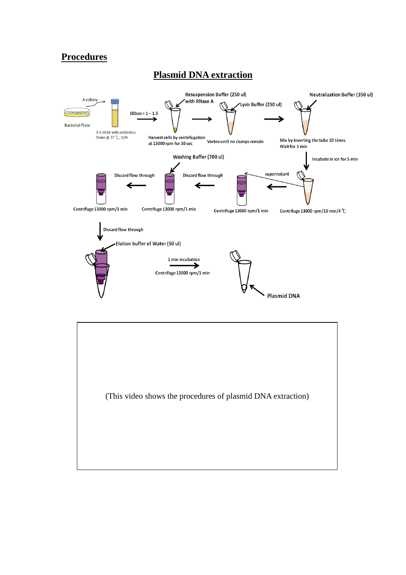## **Procedures**





## **Plasmid DNA extraction**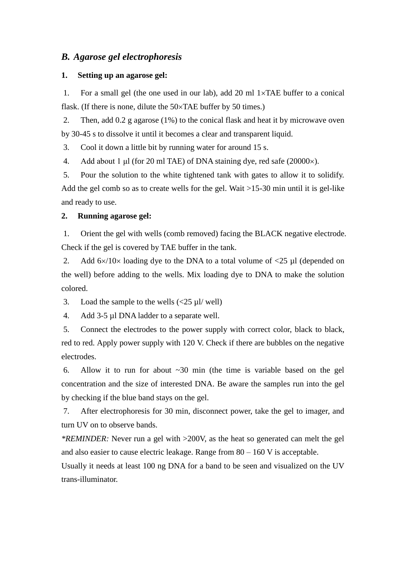## *B. Agarose gel electrophoresis*

#### **1. Setting up an agarose gel:**

1. For a small gel (the one used in our lab), add 20 ml  $1 \times TAE$  buffer to a conical flask. (If there is none, dilute the  $50\times$ TAE buffer by 50 times.)

2. Then, add 0.2 g agarose (1%) to the conical flask and heat it by microwave oven by 30-45 s to dissolve it until it becomes a clear and transparent liquid.

3. Cool it down a little bit by running water for around 15 s.

4. Add about 1 μl (for 20 ml TAE) of DNA staining dye, red safe (20000 $\times$ ).

5. Pour the solution to the white tightened tank with gates to allow it to solidify. Add the gel comb so as to create wells for the gel. Wait  $>15-30$  min until it is gel-like and ready to use.

#### **2. Running agarose gel:**

1. Orient the gel with wells (comb removed) facing the BLACK negative electrode. Check if the gel is covered by TAE buffer in the tank.

2. Add  $6\times/10\times$  loading dye to the DNA to a total volume of  $\lt 25 \mu$ l (depended on the well) before adding to the wells. Mix loading dye to DNA to make the solution colored.

3. Load the sample to the wells  $\langle 25 \mu \text{I} / \text{well} \rangle$ 

4. Add 3-5 µl DNA ladder to a separate well.

5. Connect the electrodes to the power supply with correct color, black to black, red to red. Apply power supply with 120 V. Check if there are bubbles on the negative electrodes.

6. Allow it to run for about  $\sim 30$  min (the time is variable based on the gel concentration and the size of interested DNA. Be aware the samples run into the gel by checking if the blue band stays on the gel.

7. After electrophoresis for 30 min, disconnect power, take the gel to imager, and turn UV on to observe bands.

*\*REMINDER:* Never run a gel with >200V, as the heat so generated can melt the gel and also easier to cause electric leakage. Range from  $80 - 160$  V is acceptable.

Usually it needs at least 100 ng DNA for a band to be seen and visualized on the UV trans-illuminator.